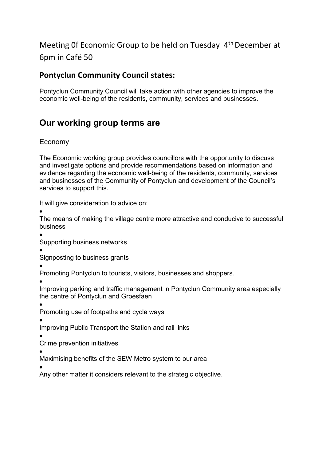# Meeting 0f Economic Group to be held on Tuesday 4th December at 6pm in Café 50

### **Pontyclun Community Council states:**

Pontyclun Community Council will take action with other agencies to improve the economic well-being of the residents, community, services and businesses.

# **Our working group terms are**

#### Economy

The Economic working group provides councillors with the opportunity to discuss and investigate options and provide recommendations based on information and evidence regarding the economic well-being of the residents, community, services and businesses of the Community of Pontyclun and development of the Council's services to support this.

It will give consideration to advice on:

•

The means of making the village centre more attractive and conducive to successful business

•

Supporting business networks

•

Signposting to business grants

•

Promoting Pontyclun to tourists, visitors, businesses and shoppers.

•

Improving parking and traffic management in Pontyclun Community area especially the centre of Pontyclun and Groesfaen

•

Promoting use of footpaths and cycle ways

•

Improving Public Transport the Station and rail links

•

Crime prevention initiatives

• Maximising benefits of the SEW Metro system to our area

•

Any other matter it considers relevant to the strategic objective.